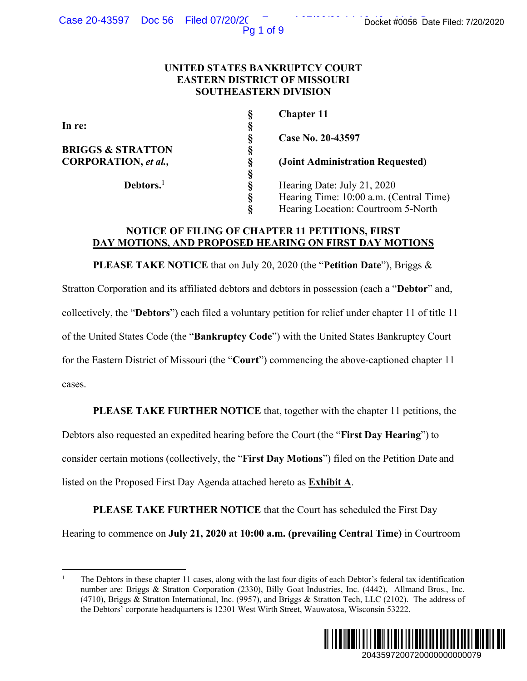Pg 1 of 9

# **UNITED STATES BANKRUPTCY COURT EASTERN DISTRICT OF MISSOURI SOUTHEASTERN DIVISION**

**BRIGGS & STRATTON** 

 **Debtors.**<sup>1</sup>

 **§** 

 **§ Chapter 11** 

**CORPORATION,** *et al.,* **§ (Joint Administration Requested)** 

S<br>
S<br>
S<br>
Case No. 20-43597<br>
S<br>
G<br>
(Joint Administration<br>
S<br>
Hearing Date: July 2<br>
Hearing Time: 10:00<br>
S<br>
Hearing Caction: C  **§** Hearing Date: July 21, 2020 Hearing Time: 10:00 a.m. (Central Time) **Hearing Location: Courtroom 5-North** 

# **NOTICE OF FILING OF CHAPTER 11 PETITIONS, FIRST DAY MOTIONS, AND PROPOSED HEARING ON FIRST DAY MOTIONS**

**PLEASE TAKE NOTICE** that on July 20, 2020 (the "**Petition Date**"), Briggs & Stratton Corporation and its affiliated debtors and debtors in possession (each a "**Debtor**" and, collectively, the "**Debtors**") each filed a voluntary petition for relief under chapter 11 of title 11 of the United States Code (the "**Bankruptcy Code**") with the United States Bankruptcy Court for the Eastern District of Missouri (the "**Court**") commencing the above-captioned chapter 11 cases. Docket #0056 Date Filed: 7/20/2020<br>
21, 2020<br>
20 a.m. (Central Time)<br>
courtroom 5-North<br>
5, FIRST<br>
DAY MOTIONS<br>
Date"), Briggs &<br>
(cach a "Debtor" and,<br>
er chapter 11 of title 11<br>
tes Bankruptcy Court<br>
e-captioned chapter

**PLEASE TAKE FURTHER NOTICE** that, together with the chapter 11 petitions, the

Debtors also requested an expedited hearing before the Court (the "**First Day Hearing**") to consider certain motions (collectively, the "**First Day Motions**") filed on the Petition Date and listed on the Proposed First Day Agenda attached hereto as **Exhibit A**.

**PLEASE TAKE FURTHER NOTICE** that the Court has scheduled the First Day Hearing to commence on **July 21, 2020 at 10:00 a.m. (prevailing Central Time)** in Courtroom

<sup>1</sup> The Debtors in these chapter 11 cases, along with the last four digits of each Debtor's federal tax identification number are: Briggs & Stratton Corporation (2330), Billy Goat Industries, Inc. (4442), Allmand Bros., Inc. (4710), Briggs & Stratton International, Inc. (9957), and Briggs & Stratton Tech, LLC (2102). The address of the Debtors' corporate headquarters is 12301 West Wirth Street, Wauwatosa, Wisconsin 53222.

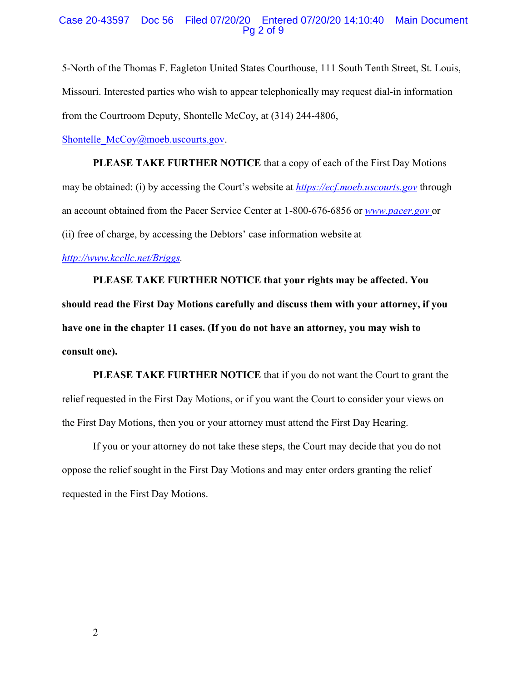#### Case 20-43597 Doc 56 Filed 07/20/20 Entered 07/20/20 14:10:40 Main Document Pg 2 of 9

5-North of the Thomas F. Eagleton United States Courthouse, 111 South Tenth Street, St. Louis, Missouri. Interested parties who wish to appear telephonically may request dial-in information from the Courtroom Deputy, Shontelle McCoy, at (314) 244-4806,

Shontelle\_McCoy@moeb.uscourts.gov.

**PLEASE TAKE FURTHER NOTICE** that a copy of each of the First Day Motions may be obtained: (i) by accessing the Court's website at *https://ecf.moeb.uscourts.gov* through an account obtained from the Pacer Service Center at 1-800-676-6856 or *www.pacer.gov* or (ii) free of charge, by accessing the Debtors' case information website at

*http://www.kccllc.net/Briggs.* 

**PLEASE TAKE FURTHER NOTICE that your rights may be affected. You should read the First Day Motions carefully and discuss them with your attorney, if you have one in the chapter 11 cases. (If you do not have an attorney, you may wish to consult one).** 

**PLEASE TAKE FURTHER NOTICE** that if you do not want the Court to grant the relief requested in the First Day Motions, or if you want the Court to consider your views on the First Day Motions, then you or your attorney must attend the First Day Hearing.

If you or your attorney do not take these steps, the Court may decide that you do not oppose the relief sought in the First Day Motions and may enter orders granting the relief requested in the First Day Motions.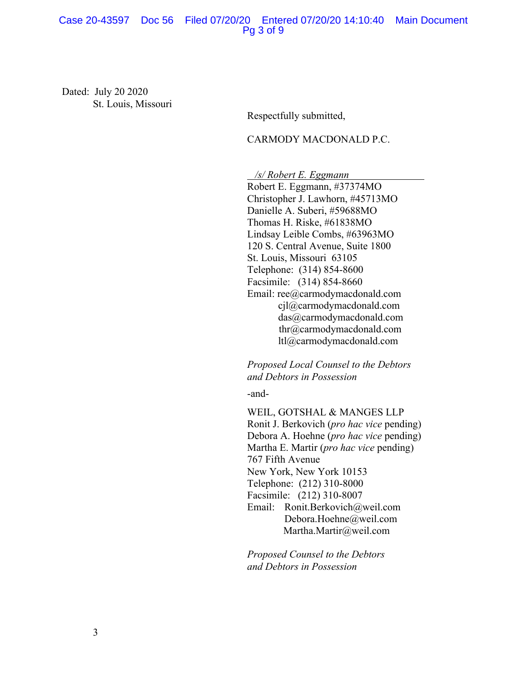### Case 20-43597 Doc 56 Filed 07/20/20 Entered 07/20/20 14:10:40 Main Document Pg 3 of 9

Dated: July 20 2020 St. Louis, Missouri

Respectfully submitted,

### CARMODY MACDONALD P.C.

 */s/ Robert E. Eggmann* 

Robert E. Eggmann, #37374MO Christopher J. Lawhorn, #45713MO Danielle A. Suberi, #59688MO Thomas H. Riske, #61838MO Lindsay Leible Combs, #63963MO 120 S. Central Avenue, Suite 1800 St. Louis, Missouri 63105 Telephone: (314) 854-8600 Facsimile: (314) 854-8660 Email: ree@carmodymacdonald.com cjl@carmodymacdonald.com das@carmodymacdonald.com thr@carmodymacdonald.com ltl@carmodymacdonald.com

*Proposed Local Counsel to the Debtors and Debtors in Possession* 

-and-

WEIL, GOTSHAL & MANGES LLP Ronit J. Berkovich (*pro hac vice* pending) Debora A. Hoehne (*pro hac vice* pending) Martha E. Martir (*pro hac vice* pending) 767 Fifth Avenue New York, New York 10153 Telephone: (212) 310-8000 Facsimile: (212) 310-8007 Email: Ronit.Berkovich@weil.com Debora.Hoehne@weil.com Martha.Martir@weil.com

*Proposed Counsel to the Debtors and Debtors in Possession*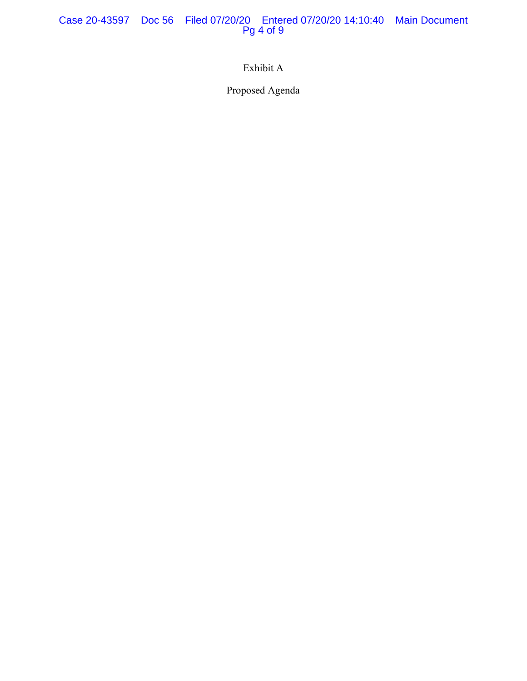Case 20-43597 Doc 56 Filed 07/20/20 Entered 07/20/20 14:10:40 Main Document Pg 4 of 9

Exhibit A

Proposed Agenda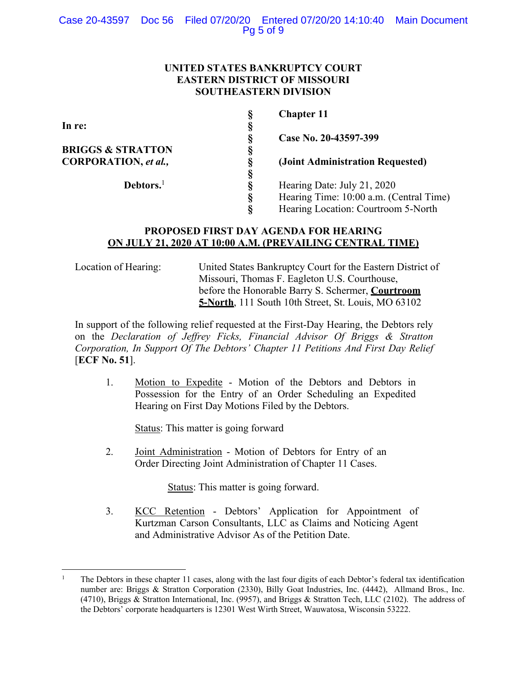# **UNITED STATES BANKRUPTCY COURT EASTERN DISTRICT OF MISSOURI SOUTHEASTERN DIVISION**

|                              |   | <b>Chapter 11</b>                       |
|------------------------------|---|-----------------------------------------|
| In re:                       |   |                                         |
|                              | ş | Case No. 20-43597-399                   |
| <b>BRIGGS &amp; STRATTON</b> | Š |                                         |
| CORPORATION, et al.,         | § | (Joint Administration Requested)        |
|                              |   |                                         |
| Debtors. <sup>1</sup>        |   | Hearing Date: July 21, 2020             |
|                              | § | Hearing Time: 10:00 a.m. (Central Time) |
|                              |   | Hearing Location: Courtroom 5-North     |

# **PROPOSED FIRST DAY AGENDA FOR HEARING ON JULY 21, 2020 AT 10:00 A.M. (PREVAILING CENTRAL TIME)**

Location of Hearing: United States Bankruptcy Court for the Eastern District of Missouri, Thomas F. Eagleton U.S. Courthouse, before the Honorable Barry S. Schermer, **Courtroom 5-North**, 111 South 10th Street, St. Louis, MO 63102

In support of the following relief requested at the First-Day Hearing, the Debtors rely on the *Declaration of Jeffrey Ficks, Financial Advisor Of Briggs & Stratton Corporation, In Support Of The Debtors' Chapter 11 Petitions And First Day Relief* [**ECF No. 51**].

1. Motion to Expedite - Motion of the Debtors and Debtors in Possession for the Entry of an Order Scheduling an Expedited Hearing on First Day Motions Filed by the Debtors.

Status: This matter is going forward

2. Joint Administration - Motion of Debtors for Entry of an Order Directing Joint Administration of Chapter 11 Cases.

Status: This matter is going forward.

3. KCC Retention - Debtors' Application for Appointment of Kurtzman Carson Consultants, LLC as Claims and Noticing Agent and Administrative Advisor As of the Petition Date.

<sup>1</sup> The Debtors in these chapter 11 cases, along with the last four digits of each Debtor's federal tax identification number are: Briggs & Stratton Corporation (2330), Billy Goat Industries, Inc. (4442), Allmand Bros., Inc. (4710), Briggs & Stratton International, Inc. (9957), and Briggs & Stratton Tech, LLC (2102). The address of the Debtors' corporate headquarters is 12301 West Wirth Street, Wauwatosa, Wisconsin 53222.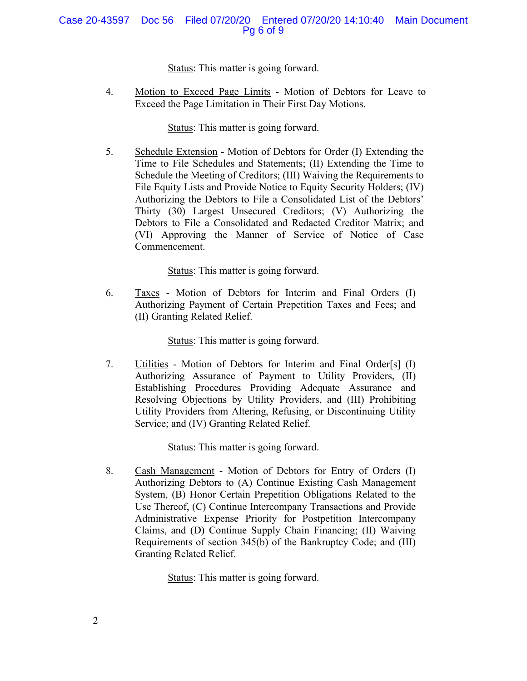# Case 20-43597 Doc 56 Filed 07/20/20 Entered 07/20/20 14:10:40 Main Document Pg 6 of 9

Status: This matter is going forward.

4. Motion to Exceed Page Limits - Motion of Debtors for Leave to Exceed the Page Limitation in Their First Day Motions.

Status: This matter is going forward.

5. Schedule Extension - Motion of Debtors for Order (I) Extending the Time to File Schedules and Statements; (II) Extending the Time to Schedule the Meeting of Creditors; (III) Waiving the Requirements to File Equity Lists and Provide Notice to Equity Security Holders; (IV) Authorizing the Debtors to File a Consolidated List of the Debtors' Thirty (30) Largest Unsecured Creditors; (V) Authorizing the Debtors to File a Consolidated and Redacted Creditor Matrix; and (VI) Approving the Manner of Service of Notice of Case Commencement.

Status: This matter is going forward.

6. Taxes - Motion of Debtors for Interim and Final Orders (I) Authorizing Payment of Certain Prepetition Taxes and Fees; and (II) Granting Related Relief.

Status: This matter is going forward.

7. Utilities - Motion of Debtors for Interim and Final Order[s] (I) Authorizing Assurance of Payment to Utility Providers, (II) Establishing Procedures Providing Adequate Assurance and Resolving Objections by Utility Providers, and (III) Prohibiting Utility Providers from Altering, Refusing, or Discontinuing Utility Service; and (IV) Granting Related Relief.

Status: This matter is going forward.

8. Cash Management - Motion of Debtors for Entry of Orders (I) Authorizing Debtors to (A) Continue Existing Cash Management System, (B) Honor Certain Prepetition Obligations Related to the Use Thereof, (C) Continue Intercompany Transactions and Provide Administrative Expense Priority for Postpetition Intercompany Claims, and (D) Continue Supply Chain Financing; (II) Waiving Requirements of section 345(b) of the Bankruptcy Code; and (III) Granting Related Relief.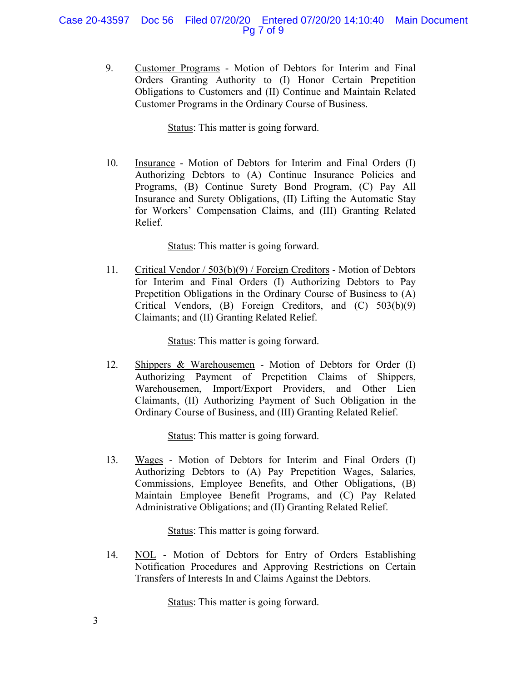# Case 20-43597 Doc 56 Filed 07/20/20 Entered 07/20/20 14:10:40 Main Document Pg 7 of 9

9. Customer Programs - Motion of Debtors for Interim and Final Orders Granting Authority to (I) Honor Certain Prepetition Obligations to Customers and (II) Continue and Maintain Related Customer Programs in the Ordinary Course of Business.

Status: This matter is going forward.

10. Insurance - Motion of Debtors for Interim and Final Orders (I) Authorizing Debtors to (A) Continue Insurance Policies and Programs, (B) Continue Surety Bond Program, (C) Pay All Insurance and Surety Obligations, (II) Lifting the Automatic Stay for Workers' Compensation Claims, and (III) Granting Related Relief.

Status: This matter is going forward.

11. Critical Vendor / 503(b)(9) / Foreign Creditors - Motion of Debtors for Interim and Final Orders (I) Authorizing Debtors to Pay Prepetition Obligations in the Ordinary Course of Business to (A) Critical Vendors, (B) Foreign Creditors, and (C) 503(b)(9) Claimants; and (II) Granting Related Relief.

Status: This matter is going forward.

12. Shippers & Warehousemen - Motion of Debtors for Order (I) Authorizing Payment of Prepetition Claims of Shippers, Warehousemen, Import/Export Providers, and Other Lien Claimants, (II) Authorizing Payment of Such Obligation in the Ordinary Course of Business, and (III) Granting Related Relief.

Status: This matter is going forward.

13. Wages - Motion of Debtors for Interim and Final Orders (I) Authorizing Debtors to (A) Pay Prepetition Wages, Salaries, Commissions, Employee Benefits, and Other Obligations, (B) Maintain Employee Benefit Programs, and (C) Pay Related Administrative Obligations; and (II) Granting Related Relief.

Status: This matter is going forward.

14. NOL - Motion of Debtors for Entry of Orders Establishing Notification Procedures and Approving Restrictions on Certain Transfers of Interests In and Claims Against the Debtors.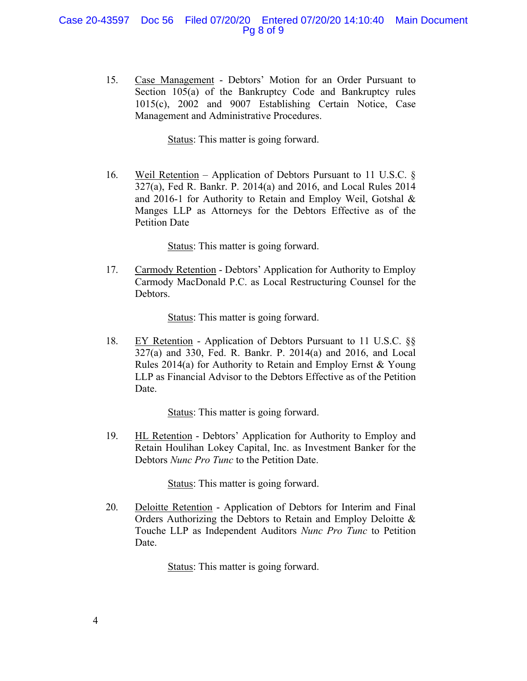### Case 20-43597 Doc 56 Filed 07/20/20 Entered 07/20/20 14:10:40 Main Document Pg 8 of 9

15. Case Management - Debtors' Motion for an Order Pursuant to Section 105(a) of the Bankruptcy Code and Bankruptcy rules 1015(c), 2002 and 9007 Establishing Certain Notice, Case Management and Administrative Procedures.

Status: This matter is going forward.

16. Weil Retention – Application of Debtors Pursuant to 11 U.S.C. § 327(a), Fed R. Bankr. P. 2014(a) and 2016, and Local Rules 2014 and 2016-1 for Authority to Retain and Employ Weil, Gotshal & Manges LLP as Attorneys for the Debtors Effective as of the Petition Date

Status: This matter is going forward.

17. Carmody Retention - Debtors' Application for Authority to Employ Carmody MacDonald P.C. as Local Restructuring Counsel for the Debtors.

Status: This matter is going forward.

18. EY Retention - Application of Debtors Pursuant to 11 U.S.C. §§ 327(a) and 330, Fed. R. Bankr. P. 2014(a) and 2016, and Local Rules 2014(a) for Authority to Retain and Employ Ernst & Young LLP as Financial Advisor to the Debtors Effective as of the Petition Date.

Status: This matter is going forward.

19. HL Retention - Debtors' Application for Authority to Employ and Retain Houlihan Lokey Capital, Inc. as Investment Banker for the Debtors *Nunc Pro Tunc* to the Petition Date.

Status: This matter is going forward.

20. Deloitte Retention - Application of Debtors for Interim and Final Orders Authorizing the Debtors to Retain and Employ Deloitte & Touche LLP as Independent Auditors *Nunc Pro Tunc* to Petition Date.